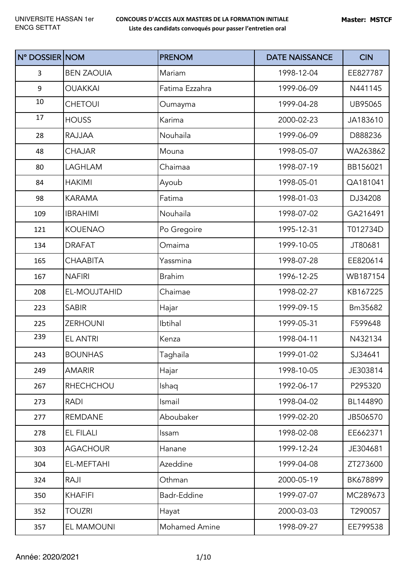| N° DOSSIER NOM |                   | <b>PRENOM</b>  | <b>DATE NAISSANCE</b> | <b>CIN</b> |
|----------------|-------------------|----------------|-----------------------|------------|
| 3              | <b>BEN ZAOUIA</b> | Mariam         | 1998-12-04            | EE827787   |
| 9              | <b>OUAKKAI</b>    | Fatima Ezzahra | 1999-06-09            | N441145    |
| 10             | <b>CHETOUI</b>    | Oumayma        | 1999-04-28            | UB95065    |
| 17             | <b>HOUSS</b>      | Karima         | 2000-02-23            | JA183610   |
| 28             | <b>RAJJAA</b>     | Nouhaila       | 1999-06-09            | D888236    |
| 48             | <b>CHAJAR</b>     | Mouna          | 1998-05-07            | WA263862   |
| 80             | LAGHLAM           | Chaimaa        | 1998-07-19            | BB156021   |
| 84             | <b>HAKIMI</b>     | Ayoub          | 1998-05-01            | QA181041   |
| 98             | <b>KARAMA</b>     | Fatima         | 1998-01-03            | DJ34208    |
| 109            | <b>IBRAHIMI</b>   | Nouhaila       | 1998-07-02            | GA216491   |
| 121            | <b>KOUENAO</b>    | Po Gregoire    | 1995-12-31            | T012734D   |
| 134            | <b>DRAFAT</b>     | Omaima         | 1999-10-05            | JT80681    |
| 165            | <b>CHAABITA</b>   | Yassmina       | 1998-07-28            | EE820614   |
| 167            | <b>NAFIRI</b>     | <b>Brahim</b>  | 1996-12-25            | WB187154   |
| 208            | EL-MOUJTAHID      | Chaimae        | 1998-02-27            | KB167225   |
| 223            | <b>SABIR</b>      | Hajar          | 1999-09-15            | Bm35682    |
| 225            | <b>ZERHOUNI</b>   | Ibtihal        | 1999-05-31            | F599648    |
| 239            | <b>EL ANTRI</b>   | Kenza          | 1998-04-11            | N432134    |
| 243            | <b>BOUNHAS</b>    | Taghaila       | 1999-01-02            | SJ34641    |
| 249            | <b>AMARIR</b>     | Hajar          | 1998-10-05            | JE303814   |
| 267            | <b>RHECHCHOU</b>  | Ishaq          | 1992-06-17            | P295320    |
| 273            | <b>RADI</b>       | Ismail         | 1998-04-02            | BL144890   |
| 277            | <b>REMDANE</b>    | Aboubaker      | 1999-02-20            | JB506570   |
| 278            | <b>EL FILALI</b>  | Issam          | 1998-02-08            | EE662371   |
| 303            | <b>AGACHOUR</b>   | Hanane         | 1999-12-24            | JE304681   |
| 304            | EL-MEFTAHI        | Azeddine       | 1999-04-08            | ZT273600   |
| 324            | RAJI              | Othman         | 2000-05-19            | BK678899   |
| 350            | <b>KHAFIFI</b>    | Badr-Eddine    | 1999-07-07            | MC289673   |
| 352            | <b>TOUZRI</b>     | Hayat          | 2000-03-03            | T290057    |
| 357            | EL MAMOUNI        | Mohamed Amine  | 1998-09-27            | EE799538   |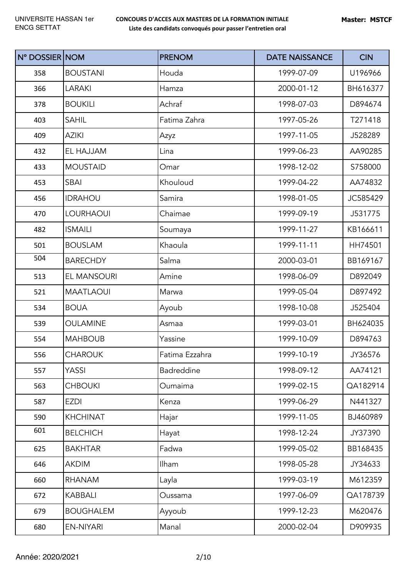| N° DOSSIER NOM |                  | <b>PRENOM</b>  | <b>DATE NAISSANCE</b> | <b>CIN</b> |
|----------------|------------------|----------------|-----------------------|------------|
| 358            | <b>BOUSTANI</b>  | Houda          | 1999-07-09            | U196966    |
| 366            | <b>LARAKI</b>    | Hamza          | 2000-01-12            | BH616377   |
| 378            | <b>BOUKILI</b>   | Achraf         | 1998-07-03            | D894674    |
| 403            | <b>SAHIL</b>     | Fatima Zahra   | 1997-05-26            | T271418    |
| 409            | <b>AZIKI</b>     | Azyz           | 1997-11-05            | J528289    |
| 432            | EL HAJJAM        | Lina           | 1999-06-23            | AA90285    |
| 433            | <b>MOUSTAID</b>  | Omar           | 1998-12-02            | S758000    |
| 453            | <b>SBAI</b>      | Khouloud       | 1999-04-22            | AA74832    |
| 456            | <b>IDRAHOU</b>   | Samira         | 1998-01-05            | JC585429   |
| 470            | <b>LOURHAOUI</b> | Chaimae        | 1999-09-19            | J531775    |
| 482            | <b>ISMAILI</b>   | Soumaya        | 1999-11-27            | KB166611   |
| 501            | <b>BOUSLAM</b>   | Khaoula        | 1999-11-11            | HH74501    |
| 504            | <b>BARECHDY</b>  | Salma          | 2000-03-01            | BB169167   |
| 513            | EL MANSOURI      | Amine          | 1998-06-09            | D892049    |
| 521            | <b>MAATLAOUI</b> | Marwa          | 1999-05-04            | D897492    |
| 534            | <b>BOUA</b>      | Ayoub          | 1998-10-08            | J525404    |
| 539            | <b>OULAMINE</b>  | Asmaa          | 1999-03-01            | BH624035   |
| 554            | <b>MAHBOUB</b>   | Yassine        | 1999-10-09            | D894763    |
| 556            | <b>CHAROUK</b>   | Fatima Ezzahra | 1999-10-19            | JY36576    |
| 557            | YASSI            | Badreddine     | 1998-09-12            | AA74121    |
| 563            | <b>CHBOUKI</b>   | Oumaima        | 1999-02-15            | QA182914   |
| 587            | <b>EZDI</b>      | Kenza          | 1999-06-29            | N441327    |
| 590            | <b>KHCHINAT</b>  | Hajar          | 1999-11-05            | BJ460989   |
| 601            | <b>BELCHICH</b>  | Hayat          | 1998-12-24            | JY37390    |
| 625            | <b>BAKHTAR</b>   | Fadwa          | 1999-05-02            | BB168435   |
| 646            | <b>AKDIM</b>     | Ilham          | 1998-05-28            | JY34633    |
| 660            | <b>RHANAM</b>    | Layla          | 1999-03-19            | M612359    |
| 672            | <b>KABBALI</b>   | Oussama        | 1997-06-09            | QA178739   |
| 679            | <b>BOUGHALEM</b> | Ayyoub         | 1999-12-23            | M620476    |
| 680            | <b>EN-NIYARI</b> | Manal          | 2000-02-04            | D909935    |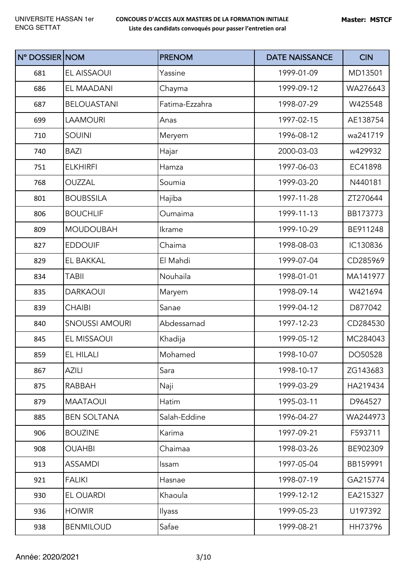| N° DOSSIER NOM |                       | <b>PRENOM</b>  | <b>DATE NAISSANCE</b> | <b>CIN</b> |
|----------------|-----------------------|----------------|-----------------------|------------|
| 681            | EL AISSAOUI           | Yassine        | 1999-01-09            | MD13501    |
| 686            | EL MAADANI            | Chayma         | 1999-09-12            | WA276643   |
| 687            | <b>BELOUASTANI</b>    | Fatima-Ezzahra | 1998-07-29            | W425548    |
| 699            | <b>LAAMOURI</b>       | Anas           | 1997-02-15            | AE138754   |
| 710            | <b>SOUINI</b>         | Meryem         | 1996-08-12            | wa241719   |
| 740            | <b>BAZI</b>           | Hajar          | 2000-03-03            | w429932    |
| 751            | <b>ELKHIRFI</b>       | Hamza          | 1997-06-03            | EC41898    |
| 768            | <b>OUZZAL</b>         | Soumia         | 1999-03-20            | N440181    |
| 801            | <b>BOUBSSILA</b>      | Hajiba         | 1997-11-28            | ZT270644   |
| 806            | <b>BOUCHLIF</b>       | Oumaima        | 1999-11-13            | BB173773   |
| 809            | <b>MOUDOUBAH</b>      | Ikrame         | 1999-10-29            | BE911248   |
| 827            | <b>EDDOUIF</b>        | Chaima         | 1998-08-03            | IC130836   |
| 829            | EL BAKKAL             | El Mahdi       | 1999-07-04            | CD285969   |
| 834            | <b>TABII</b>          | Nouhaila       | 1998-01-01            | MA141977   |
| 835            | <b>DARKAOUI</b>       | Maryem         | 1998-09-14            | W421694    |
| 839            | <b>CHAIBI</b>         | Sanae          | 1999-04-12            | D877042    |
| 840            | <b>SNOUSSI AMOURI</b> | Abdessamad     | 1997-12-23            | CD284530   |
| 845            | EL MISSAOUI           | Khadija        | 1999-05-12            | MC284043   |
| 859            | EL HILALI             | Mohamed        | 1998-10-07            | DO50528    |
| 867            | <b>AZILI</b>          | Sara           | 1998-10-17            | ZG143683   |
| 875            | <b>RABBAH</b>         | Naji           | 1999-03-29            | HA219434   |
| 879            | <b>MAATAOUI</b>       | Hatim          | 1995-03-11            | D964527    |
| 885            | <b>BEN SOLTANA</b>    | Salah-Eddine   | 1996-04-27            | WA244973   |
| 906            | <b>BOUZINE</b>        | Karima         | 1997-09-21            | F593711    |
| 908            | <b>OUAHBI</b>         | Chaimaa        | 1998-03-26            | BE902309   |
| 913            | <b>ASSAMDI</b>        | Issam          | 1997-05-04            | BB159991   |
| 921            | <b>FALIKI</b>         | Hasnae         | 1998-07-19            | GA215774   |
| 930            | EL OUARDI             | Khaoula        | 1999-12-12            | EA215327   |
| 936            | <b>HOIWIR</b>         | Ilyass         | 1999-05-23            | U197392    |
| 938            | <b>BENMILOUD</b>      | Safae          | 1999-08-21            | HH73796    |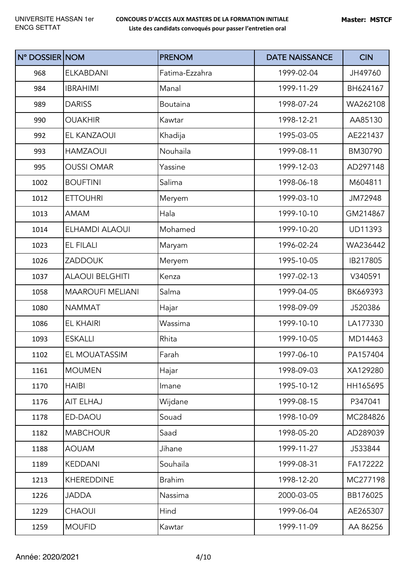| N° DOSSIER NOM |                         | <b>PRENOM</b>  | <b>DATE NAISSANCE</b> | <b>CIN</b> |
|----------------|-------------------------|----------------|-----------------------|------------|
| 968            | <b>ELKABDANI</b>        | Fatima-Ezzahra | 1999-02-04            | JH49760    |
| 984            | <b>IBRAHIMI</b>         | Manal          | 1999-11-29            | BH624167   |
| 989            | <b>DARISS</b>           | Boutaina       | 1998-07-24            | WA262108   |
| 990            | <b>OUAKHIR</b>          | Kawtar         | 1998-12-21            | AA85130    |
| 992            | EL KANZAOUI             | Khadija        | 1995-03-05            | AE221437   |
| 993            | <b>HAMZAOUI</b>         | Nouhaila       | 1999-08-11            | BM30790    |
| 995            | <b>OUSSI OMAR</b>       | Yassine        | 1999-12-03            | AD297148   |
| 1002           | <b>BOUFTINI</b>         | Salima         | 1998-06-18            | M604811    |
| 1012           | <b>ETTOUHRI</b>         | Meryem         | 1999-03-10            | JM72948    |
| 1013           | <b>AMAM</b>             | Hala           | 1999-10-10            | GM214867   |
| 1014           | ELHAMDI ALAOUI          | Mohamed        | 1999-10-20            | UD11393    |
| 1023           | <b>EL FILALI</b>        | Maryam         | 1996-02-24            | WA236442   |
| 1026           | <b>ZADDOUK</b>          | Meryem         | 1995-10-05            | IB217805   |
| 1037           | <b>ALAOUI BELGHITI</b>  | Kenza          | 1997-02-13            | V340591    |
| 1058           | <b>MAAROUFI MELIANI</b> | Salma          | 1999-04-05            | BK669393   |
| 1080           | <b>NAMMAT</b>           | Hajar          | 1998-09-09            | J520386    |
| 1086           | <b>EL KHAIRI</b>        | Wassima        | 1999-10-10            | LA177330   |
| 1093           | <b>ESKALLI</b>          | Rhita          | 1999-10-05            | MD14463    |
| 1102           | EL MOUATASSIM           | Farah          | 1997-06-10            | PA157404   |
| 1161           | <b>MOUMEN</b>           | Hajar          | 1998-09-03            | XA129280   |
| 1170           | HAIBI                   | Imane          | 1995-10-12            | HH165695   |
| 1176           | AIT ELHAJ               | Wijdane        | 1999-08-15            | P347041    |
| 1178           | ED-DAOU                 | Souad          | 1998-10-09            | MC284826   |
| 1182           | <b>MABCHOUR</b>         | Saad           | 1998-05-20            | AD289039   |
| 1188           | <b>AOUAM</b>            | Jihane         | 1999-11-27            | J533844    |
| 1189           | <b>KEDDANI</b>          | Souhaila       | 1999-08-31            | FA172222   |
| 1213           | <b>KHEREDDINE</b>       | <b>Brahim</b>  | 1998-12-20            | MC277198   |
| 1226           | <b>JADDA</b>            | Nassima        | 2000-03-05            | BB176025   |
| 1229           | <b>CHAOUI</b>           | Hind           | 1999-06-04            | AE265307   |
| 1259           | <b>MOUFID</b>           | Kawtar         | 1999-11-09            | AA 86256   |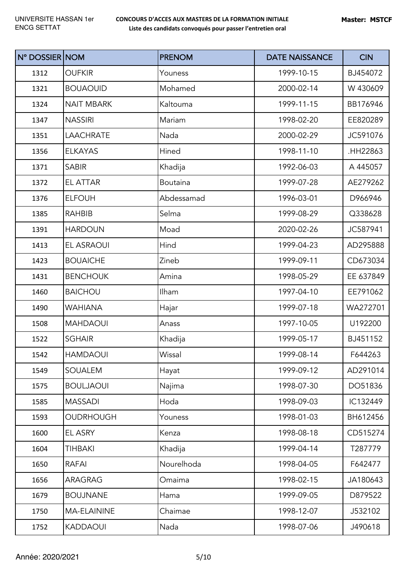| N° DOSSIER NOM |                   | <b>PRENOM</b> | <b>DATE NAISSANCE</b> | <b>CIN</b> |
|----------------|-------------------|---------------|-----------------------|------------|
| 1312           | <b>OUFKIR</b>     | Youness       | 1999-10-15            | BJ454072   |
| 1321           | <b>BOUAOUID</b>   | Mohamed       | 2000-02-14            | W 430609   |
| 1324           | <b>NAIT MBARK</b> | Kaltouma      | 1999-11-15            | BB176946   |
| 1347           | <b>NASSIRI</b>    | Mariam        | 1998-02-20            | EE820289   |
| 1351           | <b>LAACHRATE</b>  | Nada          | 2000-02-29            | JC591076   |
| 1356           | <b>ELKAYAS</b>    | Hined         | 1998-11-10            | .HH22863   |
| 1371           | <b>SABIR</b>      | Khadija       | 1992-06-03            | A 445057   |
| 1372           | <b>EL ATTAR</b>   | Boutaina      | 1999-07-28            | AE279262   |
| 1376           | <b>ELFOUH</b>     | Abdessamad    | 1996-03-01            | D966946    |
| 1385           | <b>RAHBIB</b>     | Selma         | 1999-08-29            | Q338628    |
| 1391           | <b>HARDOUN</b>    | Moad          | 2020-02-26            | JC587941   |
| 1413           | <b>EL ASRAOUI</b> | Hind          | 1999-04-23            | AD295888   |
| 1423           | <b>BOUAICHE</b>   | Zineb         | 1999-09-11            | CD673034   |
| 1431           | <b>BENCHOUK</b>   | Amina         | 1998-05-29            | EE 637849  |
| 1460           | <b>BAICHOU</b>    | Ilham         | 1997-04-10            | EE791062   |
| 1490           | WAHIANA           | Hajar         | 1999-07-18            | WA272701   |
| 1508           | <b>MAHDAOUI</b>   | Anass         | 1997-10-05            | U192200    |
| 1522           | <b>SGHAIR</b>     | Khadija       | 1999-05-17            | BJ451152   |
| 1542           | HAMDAOUI          | Wissal        | 1999-08-14            | F644263    |
| 1549           | SOUALEM           | Hayat         | 1999-09-12            | AD291014   |
| 1575           | <b>BOULJAOUI</b>  | Najima        | 1998-07-30            | DO51836    |
| 1585           | <b>MASSADI</b>    | Hoda          | 1998-09-03            | IC132449   |
| 1593           | <b>OUDRHOUGH</b>  | Youness       | 1998-01-03            | BH612456   |
| 1600           | EL ASRY           | Kenza         | 1998-08-18            | CD515274   |
| 1604           | TIHBAKI           | Khadija       | 1999-04-14            | T287779    |
| 1650           | <b>RAFAI</b>      | Nourelhoda    | 1998-04-05            | F642477    |
| 1656           | ARAGRAG           | Omaima        | 1998-02-15            | JA180643   |
| 1679           | <b>BOUJNANE</b>   | Hama          | 1999-09-05            | D879522    |
| 1750           | MA-ELAININE       | Chaimae       | 1998-12-07            | J532102    |
| 1752           | <b>KADDAOUI</b>   | Nada          | 1998-07-06            | J490618    |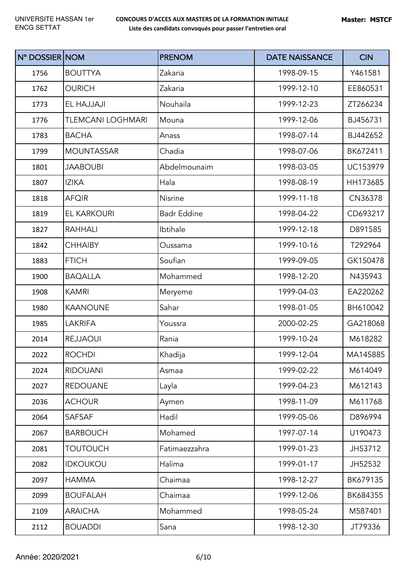| N° DOSSIER NOM |                          | <b>PRENOM</b>      | <b>DATE NAISSANCE</b> | <b>CIN</b> |
|----------------|--------------------------|--------------------|-----------------------|------------|
| 1756           | <b>BOUTTYA</b>           | Zakaria            | 1998-09-15            | Y461581    |
| 1762           | <b>OURICH</b>            | Zakaria            | 1999-12-10            | EE860531   |
| 1773           | EL HAJJAJI               | Nouhaila           | 1999-12-23            | ZT266234   |
| 1776           | <b>TLEMCANI LOGHMARI</b> | Mouna              | 1999-12-06            | BJ456731   |
| 1783           | <b>BACHA</b>             | Anass              | 1998-07-14            | BJ442652   |
| 1799           | <b>MOUNTASSAR</b>        | Chadia             | 1998-07-06            | BK672411   |
| 1801           | <b>JAABOUBI</b>          | Abdelmounaim       | 1998-03-05            | UC153979   |
| 1807           | <b>IZIKA</b>             | Hala               | 1998-08-19            | HH173685   |
| 1818           | <b>AFQIR</b>             | Nisrine            | 1999-11-18            | CN36378    |
| 1819           | <b>EL KARKOURI</b>       | <b>Badr Eddine</b> | 1998-04-22            | CD693217   |
| 1827           | <b>RAHHALI</b>           | Ibtihale           | 1999-12-18            | D891585    |
| 1842           | <b>CHHAIBY</b>           | Oussama            | 1999-10-16            | T292964    |
| 1883           | <b>FTICH</b>             | Soufian            | 1999-09-05            | GK150478   |
| 1900           | <b>BAQALLA</b>           | Mohammed           | 1998-12-20            | N435943    |
| 1908           | <b>KAMRI</b>             | Meryeme            | 1999-04-03            | EA220262   |
| 1980           | <b>KAANOUNE</b>          | Sahar              | 1998-01-05            | BH610042   |
| 1985           | LAKRIFA                  | Youssra            | 2000-02-25            | GA218068   |
| 2014           | <b>REJJAOUI</b>          | Rania              | 1999-10-24            | M618282    |
| 2022           | <b>ROCHDI</b>            | Khadija            | 1999-12-04            | MA145885   |
| 2024           | <b>RIDOUANI</b>          | Asmaa              | 1999-02-22            | M614049    |
| 2027           | <b>REDOUANE</b>          | Layla              | 1999-04-23            | M612143    |
| 2036           | <b>ACHOUR</b>            | Aymen              | 1998-11-09            | M611768    |
| 2064           | <b>SAFSAF</b>            | Hadil              | 1999-05-06            | D896994    |
| 2067           | <b>BARBOUCH</b>          | Mohamed            | 1997-07-14            | U190473    |
| 2081           | <b>TOUTOUCH</b>          | Fatimaezzahra      | 1999-01-23            | JH53712    |
| 2082           | <b>IDKOUKOU</b>          | Halima             | 1999-01-17            | JH52532    |
| 2097           | <b>HAMMA</b>             | Chaimaa            | 1998-12-27            | BK679135   |
| 2099           | <b>BOUFALAH</b>          | Chaimaa            | 1999-12-06            | BK684355   |
| 2109           | <b>ARAICHA</b>           | Mohammed           | 1998-05-24            | M587401    |
| 2112           | <b>BOUADDI</b>           | Sana               | 1998-12-30            | JT79336    |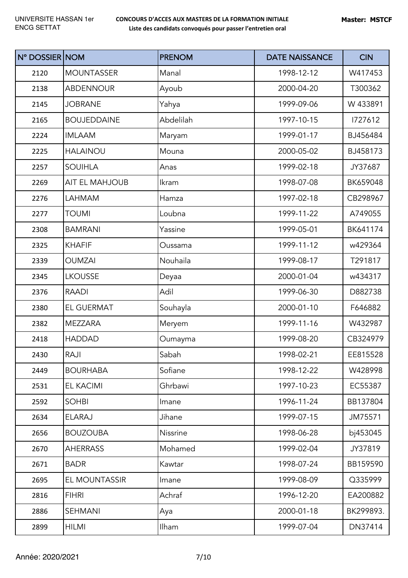| N° DOSSIER NOM |                       | <b>PRENOM</b> | <b>DATE NAISSANCE</b> | <b>CIN</b> |
|----------------|-----------------------|---------------|-----------------------|------------|
| 2120           | <b>MOUNTASSER</b>     | Manal         | 1998-12-12            | W417453    |
| 2138           | <b>ABDENNOUR</b>      | Ayoub         | 2000-04-20            | T300362    |
| 2145           | <b>JOBRANE</b>        | Yahya         | 1999-09-06            | W 433891   |
| 2165           | <b>BOUJEDDAINE</b>    | Abdelilah     | 1997-10-15            | 1727612    |
| 2224           | <b>IMLAAM</b>         | Maryam        | 1999-01-17            | BJ456484   |
| 2225           | <b>HALAINOU</b>       | Mouna         | 2000-05-02            | BJ458173   |
| 2257           | <b>SOUIHLA</b>        | Anas          | 1999-02-18            | JY37687    |
| 2269           | <b>AIT EL MAHJOUB</b> | Ikram         | 1998-07-08            | BK659048   |
| 2276           | LAHMAM                | Hamza         | 1997-02-18            | CB298967   |
| 2277           | <b>TOUMI</b>          | Loubna        | 1999-11-22            | A749055    |
| 2308           | <b>BAMRANI</b>        | Yassine       | 1999-05-01            | BK641174   |
| 2325           | <b>KHAFIF</b>         | Oussama       | 1999-11-12            | w429364    |
| 2339           | <b>OUMZAI</b>         | Nouhaila      | 1999-08-17            | T291817    |
| 2345           | <b>LKOUSSE</b>        | Deyaa         | 2000-01-04            | w434317    |
| 2376           | <b>RAADI</b>          | Adil          | 1999-06-30            | D882738    |
| 2380           | <b>EL GUERMAT</b>     | Souhayla      | 2000-01-10            | F646882    |
| 2382           | <b>MEZZARA</b>        | Meryem        | 1999-11-16            | W432987    |
| 2418           | <b>HADDAD</b>         | Oumayma       | 1999-08-20            | CB324979   |
| 2430           | RAJI                  | Sabah         | 1998-02-21            | EE815528   |
| 2449           | <b>BOURHABA</b>       | Sofiane       | 1998-12-22            | W428998    |
| 2531           | <b>EL KACIMI</b>      | Ghrbawi       | 1997-10-23            | EC55387    |
| 2592           | <b>SOHBI</b>          | Imane         | 1996-11-24            | BB137804   |
| 2634           | <b>ELARAJ</b>         | Jihane        | 1999-07-15            | JM75571    |
| 2656           | <b>BOUZOUBA</b>       | Nissrine      | 1998-06-28            | bj453045   |
| 2670           | <b>AHERRASS</b>       | Mohamed       | 1999-02-04            | JY37819    |
| 2671           | <b>BADR</b>           | Kawtar        | 1998-07-24            | BB159590   |
| 2695           | EL MOUNTASSIR         | Imane         | 1999-08-09            | Q335999    |
| 2816           | <b>FIHRI</b>          | Achraf        | 1996-12-20            | EA200882   |
| 2886           | <b>SEHMANI</b>        | Aya           | 2000-01-18            | BK299893.  |
| 2899           | <b>HILMI</b>          | Ilham         | 1999-07-04            | DN37414    |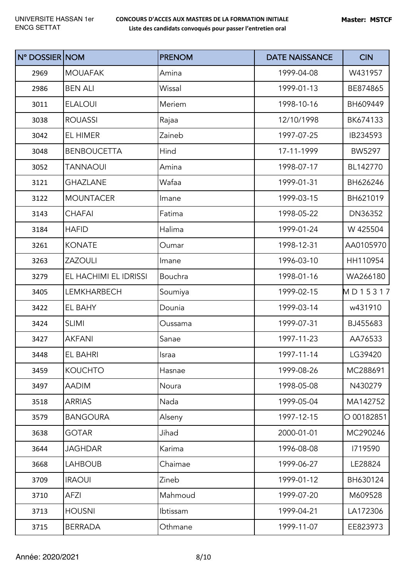| N° DOSSIER NOM |                       | <b>PRENOM</b> | <b>DATE NAISSANCE</b> | <b>CIN</b> |
|----------------|-----------------------|---------------|-----------------------|------------|
| 2969           | <b>MOUAFAK</b>        | Amina         | 1999-04-08            | W431957    |
| 2986           | <b>BEN ALI</b>        | Wissal        | 1999-01-13            | BE874865   |
| 3011           | <b>ELALOUI</b>        | Meriem        | 1998-10-16            | BH609449   |
| 3038           | <b>ROUASSI</b>        | Rajaa         | 12/10/1998            | BK674133   |
| 3042           | EL HIMER              | Zaineb        | 1997-07-25            | IB234593   |
| 3048           | <b>BENBOUCETTA</b>    | Hind          | 17-11-1999            | BW5297     |
| 3052           | <b>TANNAOUI</b>       | Amina         | 1998-07-17            | BL142770   |
| 3121           | <b>GHAZLANE</b>       | Wafaa         | 1999-01-31            | BH626246   |
| 3122           | <b>MOUNTACER</b>      | Imane         | 1999-03-15            | BH621019   |
| 3143           | <b>CHAFAI</b>         | Fatima        | 1998-05-22            | DN36352    |
| 3184           | <b>HAFID</b>          | Halima        | 1999-01-24            | W 425504   |
| 3261           | <b>KONATE</b>         | Oumar         | 1998-12-31            | AA0105970  |
| 3263           | <b>ZAZOULI</b>        | Imane         | 1996-03-10            | HH110954   |
| 3279           | EL HACHIMI EL IDRISSI | Bouchra       | 1998-01-16            | WA266180   |
| 3405           | <b>LEMKHARBECH</b>    | Soumiya       | 1999-02-15            | MD15317    |
| 3422           | EL BAHY               | Dounia        | 1999-03-14            | w431910    |
| 3424           | <b>SLIMI</b>          | Oussama       | 1999-07-31            | BJ455683   |
| 3427           | <b>AKFANI</b>         | Sanae         | 1997-11-23            | AA76533    |
| 3448           | EL BAHRI              | Israa         | 1997-11-14            | LG39420    |
| 3459           | <b>KOUCHTO</b>        | Hasnae        | 1999-08-26            | MC288691   |
| 3497           | <b>AADIM</b>          | Noura         | 1998-05-08            | N430279    |
| 3518           | <b>ARRIAS</b>         | Nada          | 1999-05-04            | MA142752   |
| 3579           | <b>BANGOURA</b>       | Alseny        | 1997-12-15            | O 00182851 |
| 3638           | <b>GOTAR</b>          | Jihad         | 2000-01-01            | MC290246   |
| 3644           | <b>JAGHDAR</b>        | Karima        | 1996-08-08            | 1719590    |
| 3668           | <b>LAHBOUB</b>        | Chaimae       | 1999-06-27            | LE28824    |
| 3709           | <b>IRAOUI</b>         | Zineb         | 1999-01-12            | BH630124   |
| 3710           | <b>AFZI</b>           | Mahmoud       | 1999-07-20            | M609528    |
| 3713           | <b>HOUSNI</b>         | Ibtissam      | 1999-04-21            | LA172306   |
| 3715           | <b>BERRADA</b>        | Othmane       | 1999-11-07            | EE823973   |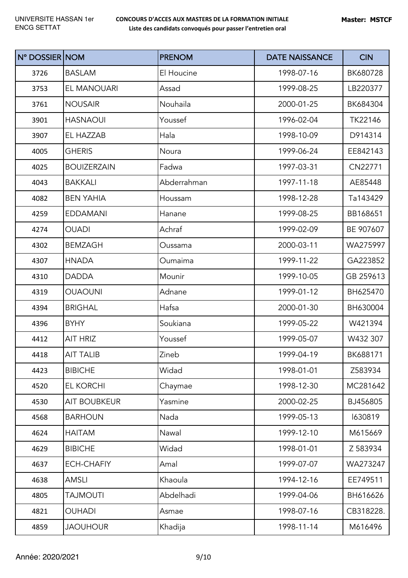| N° DOSSIER NOM |                     | <b>PRENOM</b> | <b>DATE NAISSANCE</b> | <b>CIN</b> |
|----------------|---------------------|---------------|-----------------------|------------|
| 3726           | <b>BASLAM</b>       | El Houcine    | 1998-07-16            | BK680728   |
| 3753           | EL MANOUARI         | Assad         | 1999-08-25            | LB220377   |
| 3761           | <b>NOUSAIR</b>      | Nouhaila      | 2000-01-25            | BK684304   |
| 3901           | <b>HASNAOUI</b>     | Youssef       | 1996-02-04            | TK22146    |
| 3907           | EL HAZZAB           | Hala          | 1998-10-09            | D914314    |
| 4005           | <b>GHERIS</b>       | Noura         | 1999-06-24            | EE842143   |
| 4025           | <b>BOUIZERZAIN</b>  | Fadwa         | 1997-03-31            | CN22771    |
| 4043           | <b>BAKKALI</b>      | Abderrahman   | 1997-11-18            | AE85448    |
| 4082           | <b>BEN YAHIA</b>    | Houssam       | 1998-12-28            | Ta143429   |
| 4259           | <b>EDDAMANI</b>     | Hanane        | 1999-08-25            | BB168651   |
| 4274           | <b>OUADI</b>        | Achraf        | 1999-02-09            | BE 907607  |
| 4302           | <b>BEMZAGH</b>      | Oussama       | 2000-03-11            | WA275997   |
| 4307           | <b>HNADA</b>        | Oumaima       | 1999-11-22            | GA223852   |
| 4310           | <b>DADDA</b>        | Mounir        | 1999-10-05            | GB 259613  |
| 4319           | <b>OUAOUNI</b>      | Adnane        | 1999-01-12            | BH625470   |
| 4394           | <b>BRIGHAL</b>      | Hafsa         | 2000-01-30            | BH630004   |
| 4396           | <b>BYHY</b>         | Soukiana      | 1999-05-22            | W421394    |
| 4412           | AIT HRIZ            | Youssef       | 1999-05-07            | W432 307   |
| 4418           | <b>AIT TALIB</b>    | Zineb         | 1999-04-19            | BK688171   |
| 4423           | <b>BIBICHE</b>      | Widad         | 1998-01-01            | Z583934    |
| 4520           | EL KORCHI           | Chaymae       | 1998-12-30            | MC281642   |
| 4530           | <b>AIT BOUBKEUR</b> | Yasmine       | 2000-02-25            | BJ456805   |
| 4568           | <b>BARHOUN</b>      | Nada          | 1999-05-13            | 1630819    |
| 4624           | <b>HAITAM</b>       | Nawal         | 1999-12-10            | M615669    |
| 4629           | <b>BIBICHE</b>      | Widad         | 1998-01-01            | Z 583934   |
| 4637           | <b>ECH-CHAFIY</b>   | Amal          | 1999-07-07            | WA273247   |
| 4638           | <b>AMSLI</b>        | Khaoula       | 1994-12-16            | EE749511   |
| 4805           | <b>ITUOMLAT</b>     | Abdelhadi     | 1999-04-06            | BH616626   |
| 4821           | OUHADI              | Asmae         | 1998-07-16            | CB318228.  |
| 4859           | <b>JAOUHOUR</b>     | Khadija       | 1998-11-14            | M616496    |